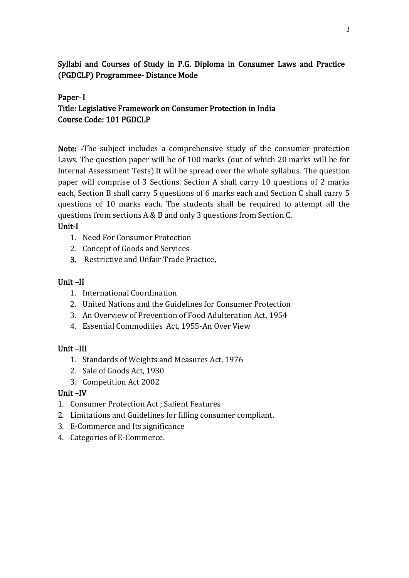Syllabi and Courses of Study in P.G. Diploma in Consumer Laws and Practice (PGDCLP) Programmee- Distance Mode

### Paper- I

# Title: Legislative Framework on Consumer Protection in India Course Code: 101 PGDCLP

Note: -The subject includes a comprehensive study of the consumer protection Laws. The question paper will be of 100 marks (out of which 20 marks will be for Internal Assessment Tests).It will be spread over the whole syllabus. The question paper will comprise of 3 Sections. Section A shall carry 10 questions of 2 marks each, Section B shall carry 5 questions of 6 marks each and Section C shall carry 5 questions of 10 marks each. The students shall be required to attempt all the questions from sections A & B and only 3 questions from Section C.

#### Unit-I

- 1. Need For Consumer Protection
- 2. Concept of Goods and Services
- 3. Restrictive and Unfair Trade Practice.

#### Unit –II

- 1. International Coordination
- 2. United Nations and the Guidelines for Consumer Protection
- 3. An Overview of Prevention of Food Adulteration Act, 1954
- 4. Essential Commodities Act, 1955-An Over View

#### Unit –III

- 1. Standards of Weights and Measures Act, 1976
- 2. Sale of Goods Act, 1930
- 3. Competition Act 2002

#### Unit –IV

- 1. Consumer Protection Act ; Salient Features
- 2. Limitations and Guidelines for filling consumer compliant.
- 3. E-Commerce and Its significance
- 4. Categories of E-Commerce.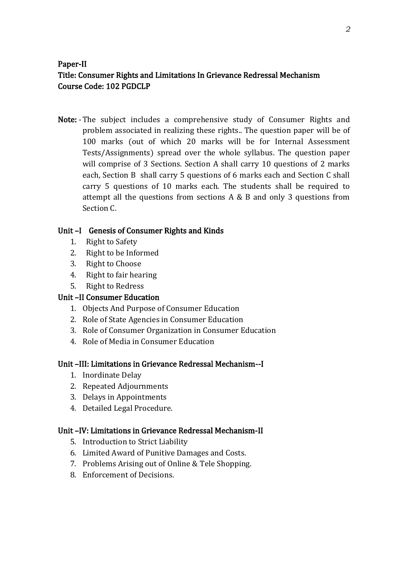# Paper-II Title: Consumer Rights and Limitations In Grievance Redressal Mechanism Course Code: 102 PGDCLP

Note: -The subject includes a comprehensive study of Consumer Rights and problem associated in realizing these rights.. The question paper will be of 100 marks (out of which 20 marks will be for Internal Assessment Tests/Assignments) spread over the whole syllabus. The question paper will comprise of 3 Sections. Section A shall carry 10 questions of 2 marks each, Section B shall carry 5 questions of 6 marks each and Section C shall carry 5 questions of 10 marks each. The students shall be required to attempt all the questions from sections A & B and only 3 questions from Section C.

## Unit –I Genesis of Consumer Rights and Kinds

- 1. Right to Safety
- 2. Right to be Informed
- 3. Right to Choose
- 4. Right to fair hearing
- 5. Right to Redress

## Unit –II Consumer Education

- 1. Objects And Purpose of Consumer Education
- 2. Role of State Agencies in Consumer Education
- 3. Role of Consumer Organization in Consumer Education
- 4. Role of Media in Consumer Education

## Unit –III: Limitations in Grievance Redressal Mechanism--I

- 1. Inordinate Delay
- 2. Repeated Adjournments
- 3. Delays in Appointments
- 4. Detailed Legal Procedure.

## Unit –IV: Limitations in Grievance Redressal Mechanism-II

- 5. Introduction to Strict Liability
- 6. Limited Award of Punitive Damages and Costs.
- 7. Problems Arising out of Online & Tele Shopping.
- 8. Enforcement of Decisions.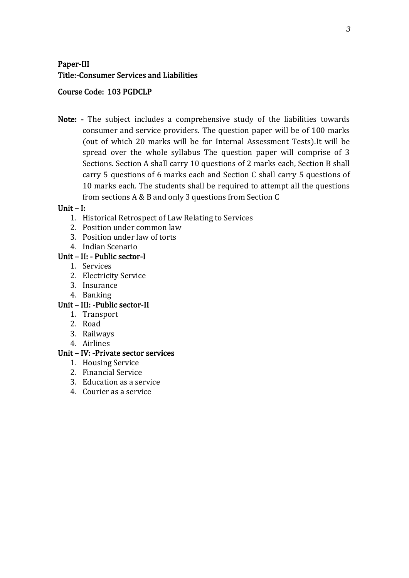# Paper-III Title:-Consumer Services and Liabilities

### Course Code: 103 PGDCLP

Note: - The subject includes a comprehensive study of the liabilities towards consumer and service providers. The question paper will be of 100 marks (out of which 20 marks will be for Internal Assessment Tests).It will be spread over the whole syllabus The question paper will comprise of 3 Sections. Section A shall carry 10 questions of 2 marks each, Section B shall carry 5 questions of 6 marks each and Section C shall carry 5 questions of 10 marks each. The students shall be required to attempt all the questions from sections A & B and only 3 questions from Section C

#### Unit – I:

- 1. Historical Retrospect of Law Relating to Services
- 2. Position under common law
- 3. Position under law of torts
- 4. Indian Scenario

## Unit – II: - Public sector-I

- 1. Services
- 2. Electricity Service
- 3. Insurance
- 4. Banking

## Unit – III: -Public sector-II

- 1. Transport
- 2. Road
- 3. Railways
- 4. Airlines

#### Unit – IV: -Private sector services

- 1. Housing Service
- 2. Financial Service
- 3. Education as a service
- 4. Courier as a service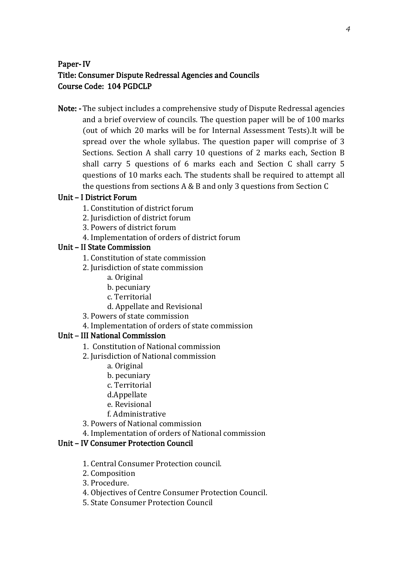# Paper- IV Title: Consumer Dispute Redressal Agencies and Councils Course Code: 104 PGDCLP

Note: - The subject includes a comprehensive study of Dispute Redressal agencies and a brief overview of councils. The question paper will be of 100 marks (out of which 20 marks will be for Internal Assessment Tests).It will be spread over the whole syllabus. The question paper will comprise of 3 Sections. Section A shall carry 10 questions of 2 marks each, Section B shall carry 5 questions of 6 marks each and Section C shall carry 5 questions of 10 marks each. The students shall be required to attempt all the questions from sections A & B and only 3 questions from Section C

### Unit – I District Forum

- 1. Constitution of district forum
- 2. Jurisdiction of district forum
- 3. Powers of district forum
- 4. Implementation of orders of district forum

### Unit – II State Commission

- 1. Constitution of state commission
- 2. Jurisdiction of state commission
	- a. Original
	- b. pecuniary
	- c. Territorial
	- d. Appellate and Revisional
- 3. Powers of state commission
- 4. Implementation of orders of state commission

## Unit – III National Commission

- 1. Constitution of National commission
- 2. Jurisdiction of National commission
	- a. Original
	- b. pecuniary
	- c. Territorial
	- d.Appellate
	- e. Revisional
	- f. Administrative
- 3. Powers of National commission
- 4. Implementation of orders of National commission

## Unit – IV Consumer Protection Council

- 1. Central Consumer Protection council.
- 2. Composition
- 3. Procedure.
- 4. Objectives of Centre Consumer Protection Council.
- 5. State Consumer Protection Council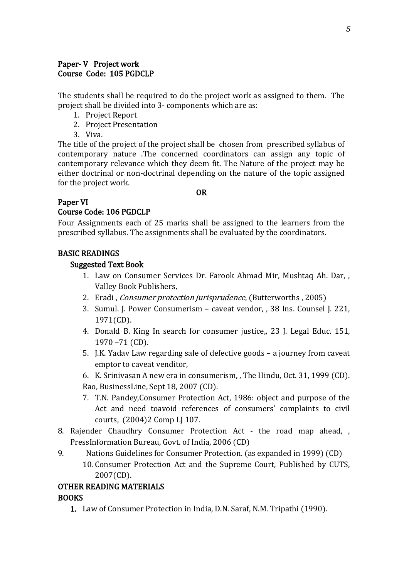#### Paper- V Project work Course Code: 105 PGDCLP

The students shall be required to do the project work as assigned to them. The project shall be divided into 3- components which are as:

- 1. Project Report
- 2. Project Presentation
- 3. Viva.

The title of the project of the project shall be chosen from prescribed syllabus of contemporary nature .The concerned coordinators can assign any topic of contemporary relevance which they deem fit. The Nature of the project may be either doctrinal or non-doctrinal depending on the nature of the topic assigned for the project work.

#### OR

#### Paper VI

## Course Code: 106 PGDCLP

Four Assignments each of 25 marks shall be assigned to the learners from the prescribed syllabus. The assignments shall be evaluated by the coordinators.

### BASIC READINGS

#### Suggested Text Book

- 1. Law on Consumer Services Dr. Farook Ahmad Mir, Mushtaq Ah. Dar, , Valley Book Publishers.
- 2. Eradi, *Consumer protection jurisprudence*, (Butterworths, 2005)
- 3. Sumul. J. Power Consumerism caveat vendor, , 38 Ins. Counsel J. 221, 1971(CD).
- 4. Donald B. King In search for consumer justice,, 23 J. Legal Educ. 151, 1970 –71 (CD).
- 5. J.K. Yadav Law regarding sale of defective goods a journey from caveat emptor to caveat venditor,
- 6. K. Srinivasan A new era in consumerism, , The Hindu, Oct. 31, 1999 (CD). Rao, BusinessLine, Sept 18, 2007 (CD).
- 7. T.N. Pandey,Consumer Protection Act, 1986: object and purpose of the Act and need toavoid references of consumers' complaints to civil courts, (2004)2 Comp LJ 107.
- 8. Rajender Chaudhry Consumer Protection Act the road map ahead, , PressInformation Bureau, Govt. of India, 2006 (CD)
- 9. Nations Guidelines for Consumer Protection. (as expanded in 1999) (CD) 10. Consumer Protection Act and the Supreme Court, Published by CUTS, 2007(CD).

#### OTHER READING MATERIALS BOOKS

1. Law of Consumer Protection in India, D.N. Saraf, N.M. Tripathi (1990).